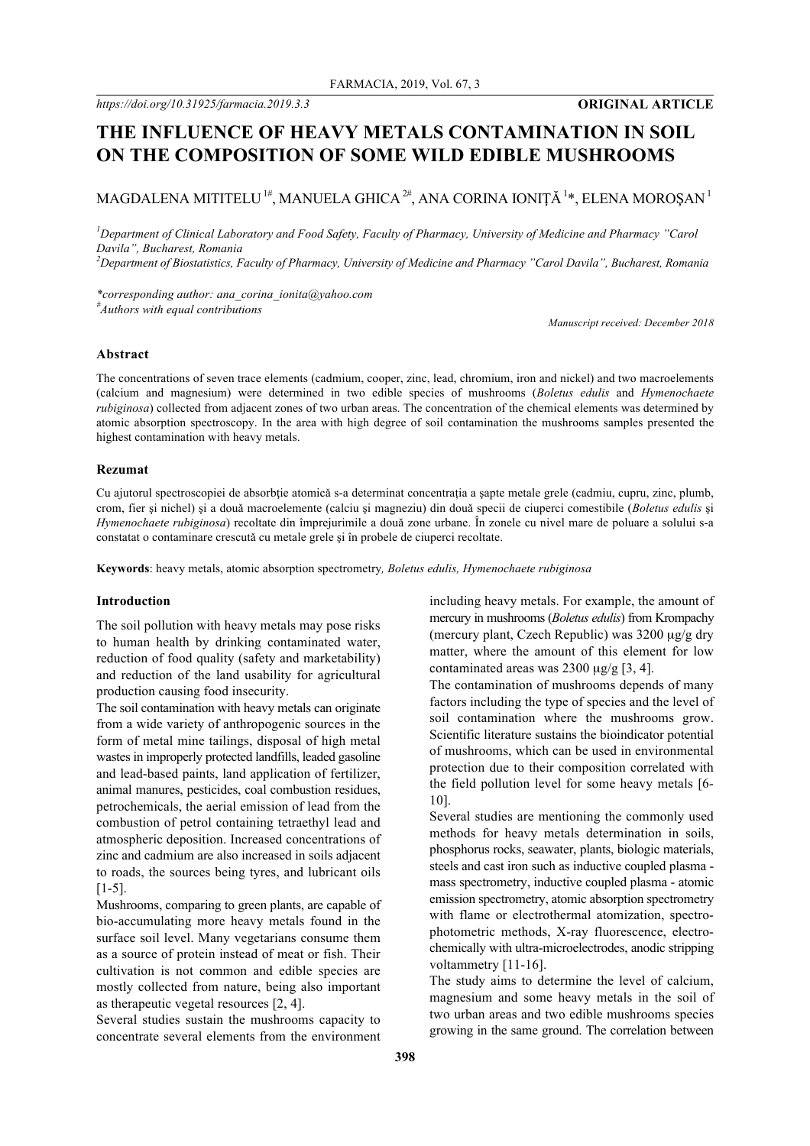# **THE INFLUENCE OF HEAVY METALS CONTAMINATION IN SOIL ON THE COMPOSITION OF SOME WILD EDIBLE MUSHROOMS**

## MAGDALENA MITITELU  $^{\rm 1\#}$ , MANUELA GHICA  $^{\rm 2\#}$ , ANA CORINA IONIȚĂ  $^{\rm 1\ast}$ , ELENA MOROȘAN  $^{\rm 1}$

*1 Department of Clinical Laboratory and Food Safety, Faculty of Pharmacy, University of Medicine and Pharmacy "Carol Davila", Bucharest, Romania 2 Department of Biostatistics, Faculty of Pharmacy, University of Medicine and Pharmacy "Carol Davila", Bucharest, Romania*

*\*corresponding author: ana\_corina\_ionita@yahoo.com # Authors with equal contributions*

*Manuscript received: December 2018*

#### **Abstract**

The concentrations of seven trace elements (cadmium, cooper, zinc, lead, chromium, iron and nickel) and two macroelements (calcium and magnesium) were determined in two edible species of mushrooms (*Boletus edulis* and *Hymenochaete rubiginosa*) collected from adjacent zones of two urban areas. The concentration of the chemical elements was determined by atomic absorption spectroscopy. In the area with high degree of soil contamination the mushrooms samples presented the highest contamination with heavy metals.

#### **Rezumat**

Cu ajutorul spectroscopiei de absorbție atomică s-a determinat concentrația a sapte metale grele (cadmiu, cupru, zinc, plumb, crom, fier şi nichel) şi a douǎ macroelemente (calciu şi magneziu) din douǎ specii de ciuperci comestibile (*Boletus edulis* şi *Hymenochaete rubiginosa*) recoltate din împrejurimile a douǎ zone urbane. În zonele cu nivel mare de poluare a solului s-a constatat o contaminare crescutǎ cu metale grele şi în probele de ciuperci recoltate.

**Keywords**: heavy metals, atomic absorption spectrometry*, Boletus edulis, Hymenochaete rubiginosa*

#### **Introduction**

The soil pollution with heavy metals may pose risks to human health by drinking contaminated water, reduction of food quality (safety and marketability) and reduction of the land usability for agricultural production causing food insecurity.

The soil contamination with heavy metals can originate from a wide variety of anthropogenic sources in the form of metal mine tailings, disposal of high metal wastes in improperly protected landfills, leaded gasoline and lead-based paints, land application of fertilizer, animal manures, pesticides, coal combustion residues, petrochemicals, the aerial emission of lead from the combustion of petrol containing tetraethyl lead and atmospheric deposition. Increased concentrations of zinc and cadmium are also increased in soils adjacent to roads, the sources being tyres, and lubricant oils [1-5].

Mushrooms, comparing to green plants, are capable of bio-accumulating more heavy metals found in the surface soil level. Many vegetarians consume them as a source of protein instead of meat or fish. Their cultivation is not common and edible species are mostly collected from nature, being also important as therapeutic vegetal resources [2, 4].

Several studies sustain the mushrooms capacity to concentrate several elements from the environment including heavy metals. For example, the amount of mercury in mushrooms (*Boletus edulis*) from Krompachy (mercury plant, Czech Republic) was 3200 µg/g dry matter, where the amount of this element for low contaminated areas was  $2300 \text{ ug/g}$  [3, 4].

The contamination of mushrooms depends of many factors including the type of species and the level of soil contamination where the mushrooms grow. Scientific literature sustains the bioindicator potential of mushrooms, which can be used in environmental protection due to their composition correlated with the field pollution level for some heavy metals [6- 10].

Several studies are mentioning the commonly used methods for heavy metals determination in soils, phosphorus rocks, seawater, plants, biologic materials, steels and cast iron such as inductive coupled plasma mass spectrometry, inductive coupled plasma - atomic emission spectrometry, atomic absorption spectrometry with flame or electrothermal atomization, spectrophotometric methods, X-ray fluorescence, electrochemically with ultra-microelectrodes, anodic stripping voltammetry [11-16].

The study aims to determine the level of calcium, magnesium and some heavy metals in the soil of two urban areas and two edible mushrooms species growing in the same ground. The correlation between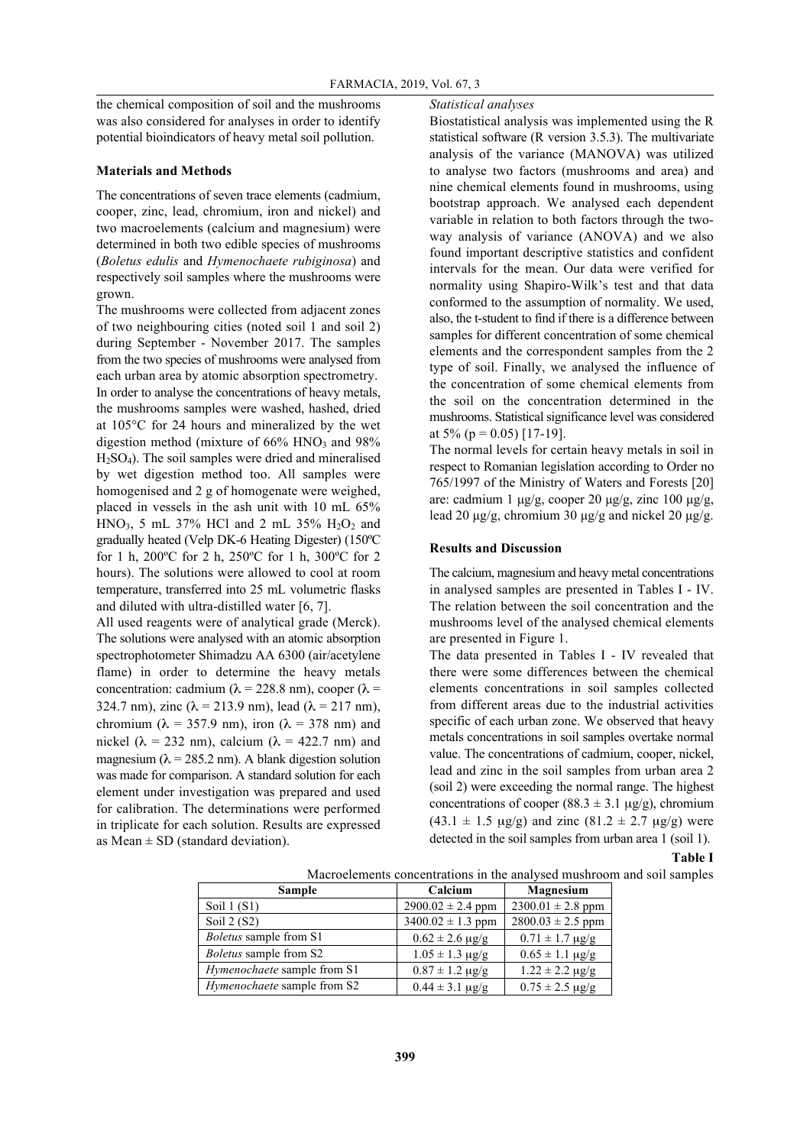*Statistical analyses*

the chemical composition of soil and the mushrooms was also considered for analyses in order to identify potential bioindicators of heavy metal soil pollution.

#### **Materials and Methods**

The concentrations of seven trace elements (cadmium, cooper, zinc, lead, chromium, iron and nickel) and two macroelements (calcium and magnesium) were determined in both two edible species of mushrooms (*Boletus edulis* and *Hymenochaete rubiginosa*) and respectively soil samples where the mushrooms were grown.

The mushrooms were collected from adjacent zones of two neighbouring cities (noted soil 1 and soil 2) during September - November 2017. The samples from the two species of mushrooms were analysed from each urban area by atomic absorption spectrometry. In order to analyse the concentrations of heavy metals, the mushrooms samples were washed, hashed, dried at 105°C for 24 hours and mineralized by the wet digestion method (mixture of  $66\%$  HNO<sub>3</sub> and  $98\%$  $H_2SO_4$ ). The soil samples were dried and mineralised by wet digestion method too. All samples were homogenised and 2 g of homogenate were weighed, placed in vessels in the ash unit with 10 mL 65% HNO<sub>3</sub>, 5 mL 37% HCl and 2 mL 35%  $H<sub>2</sub>O<sub>2</sub>$  and gradually heated (Velp DK-6 Heating Digester) (150ºC for 1 h, 200ºC for 2 h, 250ºC for 1 h, 300ºC for 2 hours). The solutions were allowed to cool at room temperature, transferred into 25 mL volumetric flasks and diluted with ultra-distilled water [6, 7].

All used reagents were of analytical grade (Merck). The solutions were analysed with an atomic absorption spectrophotometer Shimadzu AA 6300 (air/acetylene flame) in order to determine the heavy metals concentration: cadmium (λ = 228.8 nm), cooper (λ = 324.7 nm), zinc ( $\lambda$  = 213.9 nm), lead ( $\lambda$  = 217 nm), chromium ( $\lambda = 357.9$  nm), iron ( $\lambda = 378$  nm) and nickel ( $\lambda$  = 232 nm), calcium ( $\lambda$  = 422.7 nm) and magnesium ( $\lambda$  = 285.2 nm). A blank digestion solution was made for comparison. A standard solution for each element under investigation was prepared and used for calibration. The determinations were performed in triplicate for each solution. Results are expressed as Mean  $\pm$  SD (standard deviation).

Biostatistical analysis was implemented using the R statistical software (R version 3.5.3). The multivariate analysis of the variance (MANOVA) was utilized to analyse two factors (mushrooms and area) and nine chemical elements found in mushrooms, using bootstrap approach. We analysed each dependent variable in relation to both factors through the twoway analysis of variance (ANOVA) and we also found important descriptive statistics and confident intervals for the mean. Our data were verified for normality using Shapiro-Wilk's test and that data conformed to the assumption of normality. We used, also, the t-student to find if there is a difference between samples for different concentration of some chemical elements and the correspondent samples from the 2 type of soil. Finally, we analysed the influence of the concentration of some chemical elements from the soil on the concentration determined in the mushrooms. Statistical significance level was considered at 5% ( $p = 0.05$ ) [17-19].

The normal levels for certain heavy metals in soil in respect to Romanian legislation according to Order no 765/1997 of the Ministry of Waters and Forests [20] are: cadmium 1  $\mu$ g/g, cooper 20  $\mu$ g/g, zinc 100  $\mu$ g/g, lead 20  $\mu$ g/g, chromium 30  $\mu$ g/g and nickel 20  $\mu$ g/g.

#### **Results and Discussion**

The calcium, magnesium and heavy metal concentrations in analysed samples are presented in Tables I - IV. The relation between the soil concentration and the mushrooms level of the analysed chemical elements are presented in Figure 1.

The data presented in Tables I - IV revealed that there were some differences between the chemical elements concentrations in soil samples collected from different areas due to the industrial activities specific of each urban zone. We observed that heavy metals concentrations in soil samples overtake normal value. The concentrations of cadmium, cooper, nickel, lead and zinc in the soil samples from urban area 2 (soil 2) were exceeding the normal range. The highest concentrations of cooper (88.3  $\pm$  3.1 µg/g), chromium  $(43.1 \pm 1.5 \text{ µg/g})$  and zinc  $(81.2 \pm 2.7 \text{ µg/g})$  were detected in the soil samples from urban area 1 (soil 1).

**Table I**

| Sample                        | Calcium                     | <b>Magnesium</b>            |
|-------------------------------|-----------------------------|-----------------------------|
| Soil $1(S1)$                  | $2900.02 \pm 2.4$ ppm       | $2300.01 \pm 2.8$ ppm       |
| Soil $2(S2)$                  | $3400.02 \pm 1.3$ ppm       | $2800.03 \pm 2.5$ ppm       |
| <i>Boletus</i> sample from S1 | $0.62 \pm 2.6 \,\mu g/g$    | $0.71 \pm 1.7 \,\mu g/g$    |
| Boletus sample from S2        | $1.05 \pm 1.3 \,\mu g/g$    | $0.65 \pm 1.1 \text{ µg/g}$ |
| Hymenochaete sample from S1   | $0.87 \pm 1.2 \,\mu g/g$    | $1.22 \pm 2.2 \,\mu g/g$    |
| Hymenochaete sample from S2   | $0.44 \pm 3.1 \text{ µg/g}$ | $0.75 \pm 2.5 \text{ µg/g}$ |

Macroelements concentrations in the analysed mushroom and soil samples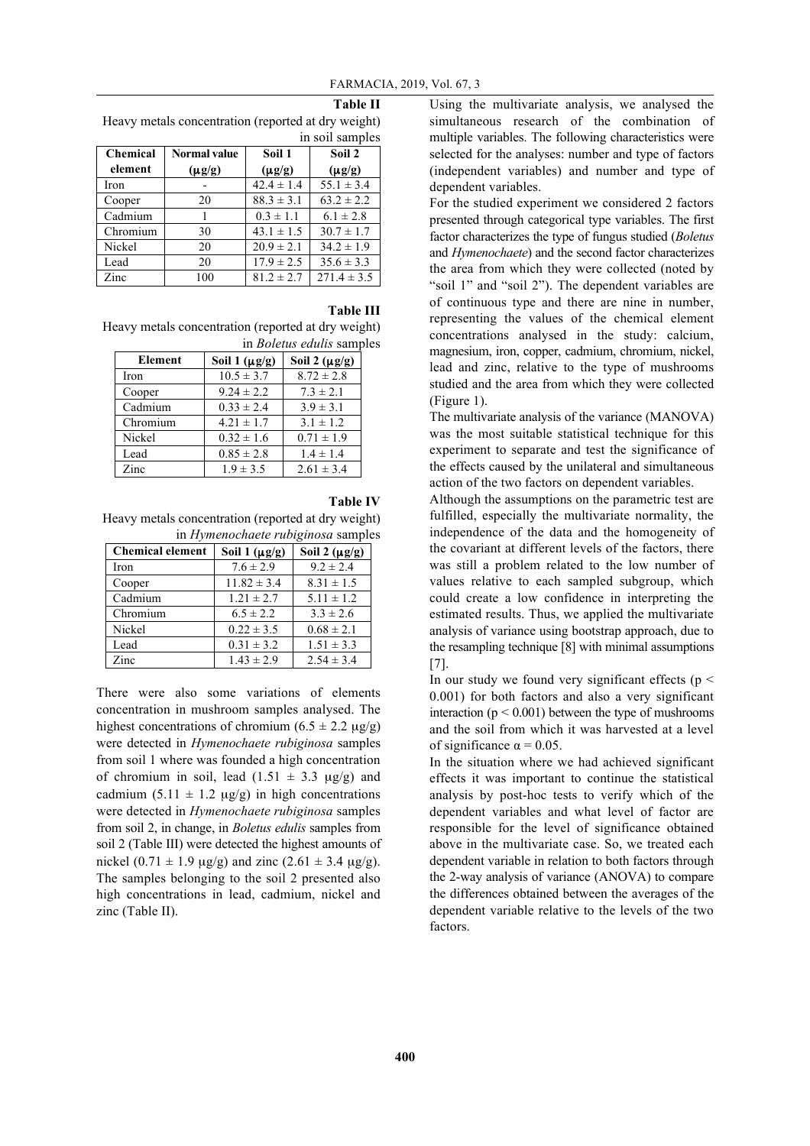Using the multivariate analysis, we analysed the simultaneous research of the combination of multiple variables. The following characteristics were selected for the analyses: number and type of factors (independent variables) and number and type of dependent variables.

For the studied experiment we considered 2 factors presented through categorical type variables. The first factor characterizes the type of fungus studied (*Boletus* and *Hymenochaete*) and the second factor characterizes the area from which they were collected (noted by "soil 1" and "soil 2"). The dependent variables are of continuous type and there are nine in number, representing the values of the chemical element concentrations analysed in the study: calcium, magnesium, iron, copper, cadmium, chromium, nickel, lead and zinc, relative to the type of mushrooms studied and the area from which they were collected (Figure 1).

The multivariate analysis of the variance (MANOVA) was the most suitable statistical technique for this experiment to separate and test the significance of the effects caused by the unilateral and simultaneous action of the two factors on dependent variables.

Although the assumptions on the parametric test are fulfilled, especially the multivariate normality, the independence of the data and the homogeneity of the covariant at different levels of the factors, there was still a problem related to the low number of values relative to each sampled subgroup, which could create a low confidence in interpreting the estimated results. Thus, we applied the multivariate analysis of variance using bootstrap approach, due to the resampling technique [8] with minimal assumptions [7].

In our study we found very significant effects ( $p \le$ 0.001) for both factors and also a very significant interaction ( $p < 0.001$ ) between the type of mushrooms and the soil from which it was harvested at a level of significance  $\alpha = 0.05$ .

In the situation where we had achieved significant effects it was important to continue the statistical analysis by post-hoc tests to verify which of the dependent variables and what level of factor are responsible for the level of significance obtained above in the multivariate case. So, we treated each dependent variable in relation to both factors through the 2-way analysis of variance (ANOVA) to compare the differences obtained between the averages of the dependent variable relative to the levels of the two factors.

**Table II** Heavy metals concentration (reported at dry weight) in soil samples

| <b>Chemical</b> | <b>Normal value</b> | Soil 1         | Soil 2          |
|-----------------|---------------------|----------------|-----------------|
| element         | $(\mu g/g)$         | $(\mu g/g)$    | $(\mu g/g)$     |
| Iron            |                     | $42.4 \pm 1.4$ | $55.1 \pm 3.4$  |
| Cooper          | 20                  | $88.3 \pm 3.1$ | $63.2 \pm 2.2$  |
| Cadmium         |                     | $0.3 \pm 1.1$  | $6.1 \pm 2.8$   |
| Chromium        | 30                  | $43.1 \pm 1.5$ | $30.7 \pm 1.7$  |
| Nickel          | 20                  | $20.9 \pm 2.1$ | $34.2 \pm 1.9$  |
| Lead            | 20                  | $17.9 \pm 2.5$ | $35.6 \pm 3.3$  |
| Zinc            | 100                 | $81.2 \pm 2.7$ | $271.4 \pm 3.5$ |

#### **Table III**

Heavy metals concentration (reported at dry weight) in *Boletus edulis* samples

| Element  | Soil 1 $(\mu g/g)$ | Soil 2 $(\mu g/g)$ |
|----------|--------------------|--------------------|
| Iron     | $10.5 \pm 3.7$     | $8.72 \pm 2.8$     |
| Cooper   | $9.24 \pm 2.2$     | $7.3 \pm 2.1$      |
| Cadmium  | $0.33 \pm 2.4$     | $3.9 \pm 3.1$      |
| Chromium | $4.21 \pm 1.7$     | $3.1 \pm 1.2$      |
| Nickel   | $0.32 \pm 1.6$     | $0.71 \pm 1.9$     |
| Lead     | $0.85 \pm 2.8$     | $1.4 \pm 1.4$      |
| Zinc     | $1.9 \pm 3.5$      | $2.61 \pm 3.4$     |

### **Table IV**

Heavy metals concentration (reported at dry weight) in *Hymenochaete rubiginosa* samples

| <b>Chemical element</b> | Soil 1 $(\mu g/g)$ | Soil 2 $(\mu g/g)$ |
|-------------------------|--------------------|--------------------|
| Iron                    | $7.6 \pm 2.9$      | $9.2 \pm 2.4$      |
| Cooper                  | $11.82 \pm 3.4$    | $8.31 \pm 1.5$     |
| Cadmium                 | $1.21 \pm 2.7$     | $5.11 \pm 1.2$     |
| Chromium                | $6.5 \pm 2.2$      | $3.3 \pm 2.6$      |
| Nickel                  | $0.22 \pm 3.5$     | $0.68 \pm 2.1$     |
| Lead                    | $0.31 \pm 3.2$     | $1.51 \pm 3.3$     |
| Zinc                    | $1.43 \pm 2.9$     | $2.54 \pm 3.4$     |

There were also some variations of elements concentration in mushroom samples analysed. The highest concentrations of chromium  $(6.5 \pm 2.2 \text{ µg/g})$ were detected in *Hymenochaete rubiginosa* samples from soil 1 where was founded a high concentration of chromium in soil, lead  $(1.51 \pm 3.3 \text{ µg/g})$  and cadmium (5.11  $\pm$  1.2 µg/g) in high concentrations were detected in *Hymenochaete rubiginosa* samples from soil 2, in change, in *Boletus edulis* samples from soil 2 (Table III) were detected the highest amounts of nickel  $(0.71 \pm 1.9 \text{ µg/g})$  and zinc  $(2.61 \pm 3.4 \text{ µg/g})$ . The samples belonging to the soil 2 presented also high concentrations in lead, cadmium, nickel and zinc (Table II).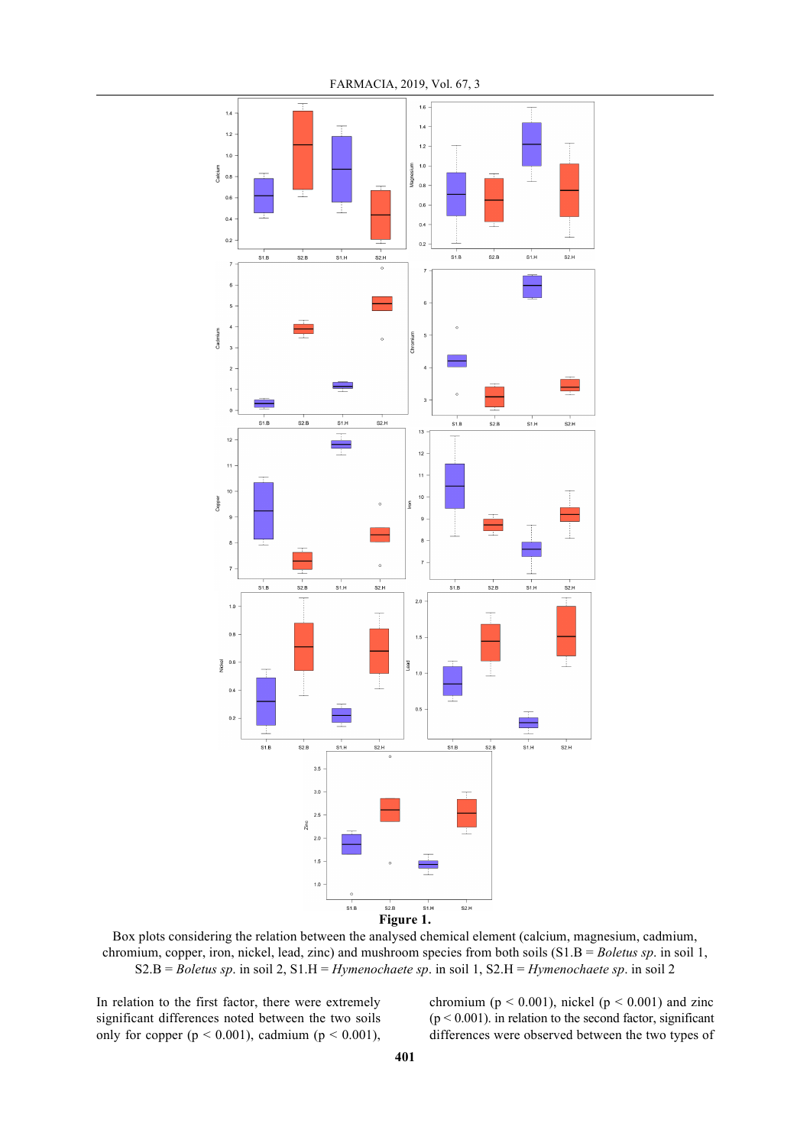

FARMACIA, 2019, Vol. 67, 3

Box plots considering the relation between the analysed chemical element (calcium, magnesium, cadmium, chromium, copper, iron, nickel, lead, zinc) and mushroom species from both soils (S1.B = *Boletus sp*. in soil 1, S2.B = *Boletus sp*. in soil 2, S1.H = *Hymenochaete sp*. in soil 1, S2.H = *Hymenochaete sp*. in soil 2

In relation to the first factor, there were extremely significant differences noted between the two soils only for copper ( $p < 0.001$ ), cadmium ( $p < 0.001$ ), chromium ( $p < 0.001$ ), nickel ( $p < 0.001$ ) and zinc  $(p < 0.001)$ . in relation to the second factor, significant differences were observed between the two types of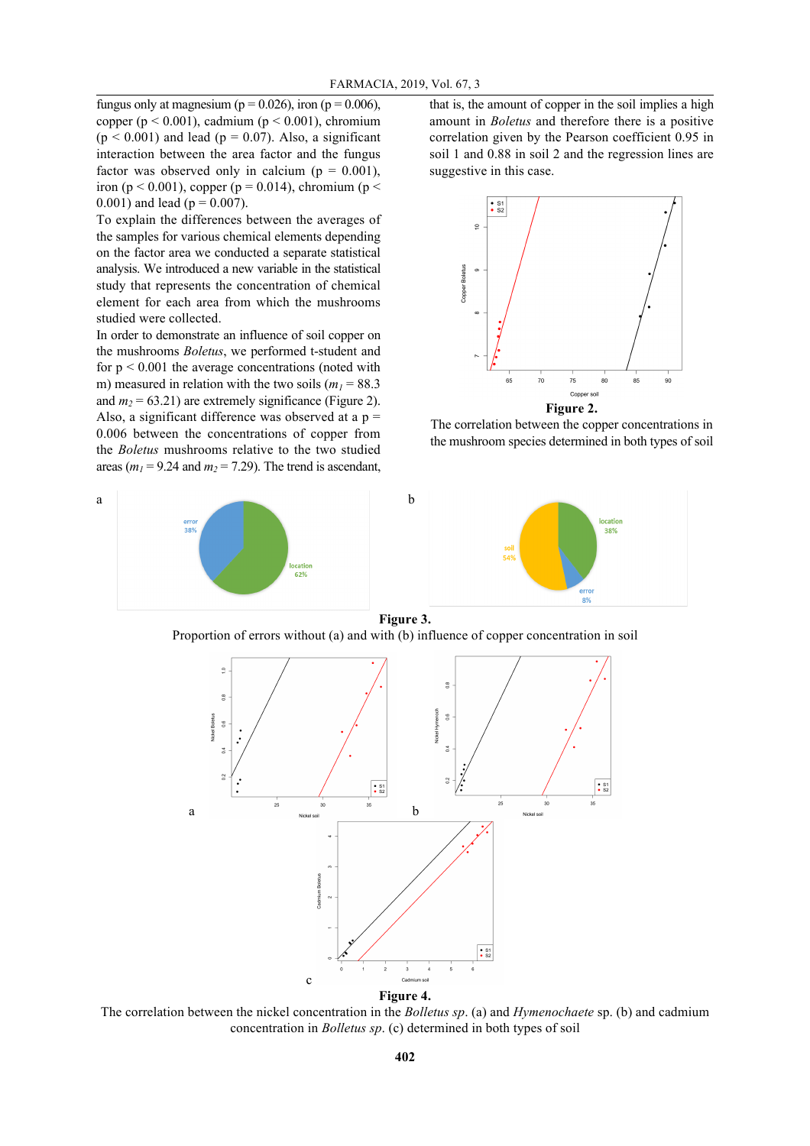fungus only at magnesium ( $p = 0.026$ ), iron ( $p = 0.006$ ), copper ( $p < 0.001$ ), cadmium ( $p < 0.001$ ), chromium  $(p < 0.001)$  and lead  $(p = 0.07)$ . Also, a significant interaction between the area factor and the fungus factor was observed only in calcium ( $p = 0.001$ ), iron (p < 0.001), copper (p = 0.014), chromium (p < 0.001) and lead ( $p = 0.007$ ).

To explain the differences between the averages of the samples for various chemical elements depending on the factor area we conducted a separate statistical analysis. We introduced a new variable in the statistical study that represents the concentration of chemical element for each area from which the mushrooms studied were collected.

In order to demonstrate an influence of soil copper on the mushrooms *Boletus*, we performed t-student and for  $p < 0.001$  the average concentrations (noted with m) measured in relation with the two soils  $(m_1 = 88.3)$ and  $m_2$  = 63.21) are extremely significance (Figure 2). Also, a significant difference was observed at a  $p =$ 0.006 between the concentrations of copper from the *Boletus* mushrooms relative to the two studied areas ( $m_l$  = 9.24 and  $m_2$  = 7.29). The trend is ascendant, that is, the amount of copper in the soil implies a high amount in *Boletus* and therefore there is a positive correlation given by the Pearson coefficient 0.95 in soil 1 and 0.88 in soil 2 and the regression lines are suggestive in this case.



**Figure 2.**

The correlation between the copper concentrations in the mushroom species determined in both types of soil



Proportion of errors without (a) and with (b) influence of copper concentration in soil



The correlation between the nickel concentration in the *Bolletus sp*. (a) and *Hymenochaete* sp. (b) and cadmium concentration in *Bolletus sp*. (c) determined in both types of soil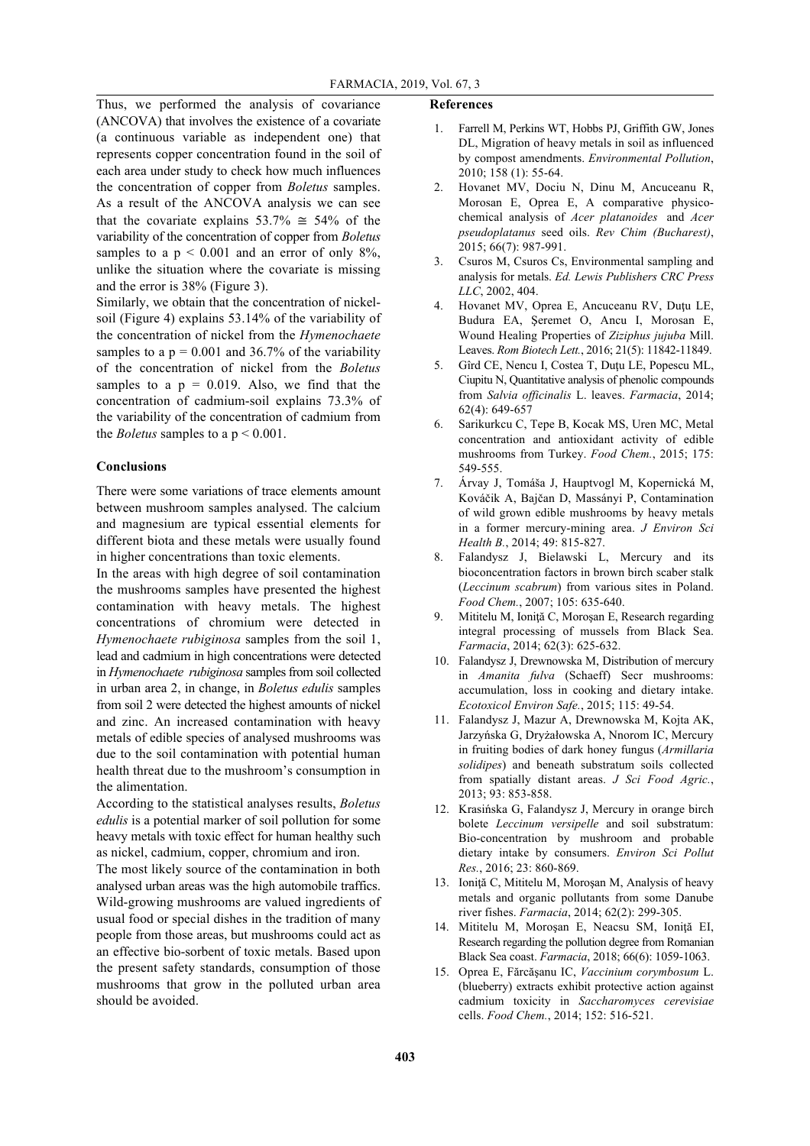Thus, we performed the analysis of covariance (ANCOVA) that involves the existence of a covariate (a continuous variable as independent one) that represents copper concentration found in the soil of each area under study to check how much influences the concentration of copper from *Boletus* samples. As a result of the ANCOVA analysis we can see that the covariate explains  $53.7\% \approx 54\%$  of the variability of the concentration of copper from *Boletus* samples to a  $p < 0.001$  and an error of only 8%, unlike the situation where the covariate is missing and the error is 38% (Figure 3).

Similarly, we obtain that the concentration of nickelsoil (Figure 4) explains 53.14% of the variability of the concentration of nickel from the *Hymenochaete* samples to a  $p = 0.001$  and 36.7% of the variability of the concentration of nickel from the *Boletus* samples to a  $p = 0.019$ . Also, we find that the concentration of cadmium-soil explains 73.3% of the variability of the concentration of cadmium from the *Boletus* samples to a  $p < 0.001$ .

#### **Conclusions**

There were some variations of trace elements amount between mushroom samples analysed. The calcium and magnesium are typical essential elements for different biota and these metals were usually found in higher concentrations than toxic elements.

In the areas with high degree of soil contamination the mushrooms samples have presented the highest contamination with heavy metals. The highest concentrations of chromium were detected in *Hymenochaete rubiginosa* samples from the soil 1, lead and cadmium in high concentrations were detected in *Hymenochaete rubiginosa* samples from soil collected in urban area 2, in change, in *Boletus edulis* samples from soil 2 were detected the highest amounts of nickel and zinc. An increased contamination with heavy metals of edible species of analysed mushrooms was due to the soil contamination with potential human health threat due to the mushroom's consumption in the alimentation.

According to the statistical analyses results, *Boletus edulis* is a potential marker of soil pollution for some heavy metals with toxic effect for human healthy such as nickel, cadmium, copper, chromium and iron.

The most likely source of the contamination in both analysed urban areas was the high automobile traffics. Wild-growing mushrooms are valued ingredients of usual food or special dishes in the tradition of many people from those areas, but mushrooms could act as an effective bio-sorbent of toxic metals. Based upon the present safety standards, consumption of those mushrooms that grow in the polluted urban area should be avoided.

#### **References**

- 1. Farrell M, Perkins WT, Hobbs PJ, Griffith GW, Jones DL, Migration of heavy metals in soil as influenced by compost amendments. *Environmental Pollution*, 2010; 158 (1): 55-64.
- 2. Hovanet MV, Dociu N, Dinu M, Ancuceanu R, Morosan E, Oprea E, A comparative physicochemical analysis of *Acer platanoides* and *Acer pseudoplatanus* seed oils. *Rev Chim (Bucharest)*, 2015; 66(7): 987-991.
- 3. Csuros M, Csuros Cs, Environmental sampling and analysis for metals. *Ed. Lewis Publishers CRC Press LLC*, 2002, 404.
- 4. Hovanet MV, Oprea E, Ancuceanu RV, Duţu LE, Budura EA, Şeremet O, Ancu I, Morosan E, Wound Healing Properties of *Ziziphus jujuba* Mill. Leaves. *Rom Biotech Lett.*, 2016; 21(5): 11842-11849.
- 5. Gîrd CE, Nencu I, Costea T, Duţu LE, Popescu ML, Ciupitu N, Quantitative analysis of phenolic compounds from *Salvia officinalis* L. leaves. *Farmacia*, 2014; 62(4): 649-657
- 6. Sarikurkcu C, Tepe B, Kocak MS, Uren MC, Metal concentration and antioxidant activity of edible mushrooms from Turkey. *Food Chem.*, 2015; 175: 549-555.
- 7. Árvay J, Tomáša J, Hauptvogl M, Kopernická M, Kováčik A, Bajčan D, Massányi P, Contamination of wild grown edible mushrooms by heavy metals in a former mercury-mining area. *J Environ Sci Health B.*, 2014; 49: 815-827.
- 8. Falandysz J, Bielawski L, Mercury and its bioconcentration factors in brown birch scaber stalk (*Leccinum scabrum*) from various sites in Poland. *Food Chem.*, 2007; 105: 635-640.
- 9. Mititelu M, Ioniţă C, Moroşan E, Research regarding integral processing of mussels from Black Sea. *Farmacia*, 2014; 62(3): 625-632.
- 10. Falandysz J, Drewnowska M, Distribution of mercury in *Amanita fulva* (Schaeff) Secr mushrooms: accumulation, loss in cooking and dietary intake. *Ecotoxicol Environ Safe.*, 2015; 115: 49-54.
- 11. Falandysz J, Mazur A, Drewnowska M, Kojta AK, Jarzyńska G, Dryżałowska A, Nnorom IC, Mercury in fruiting bodies of dark honey fungus (*Armillaria solidipes*) and beneath substratum soils collected from spatially distant areas. *J Sci Food Agric.*, 2013; 93: 853-858.
- 12. Krasińska G, Falandysz J, Mercury in orange birch bolete *Leccinum versipelle* and soil substratum: Bio-concentration by mushroom and probable dietary intake by consumers. *Environ Sci Pollut Res.*, 2016; 23: 860-869.
- 13. Ioniţă C, Mititelu M, Moroşan M, Analysis of heavy metals and organic pollutants from some Danube river fishes. *Farmacia*, 2014; 62(2): 299-305.
- 14. Mititelu M, Moroşan E, Neacsu SM, Ioniţă EI, Research regarding the pollution degree from Romanian Black Sea coast. *Farmacia*, 2018; 66(6): 1059-1063.
- 15. Oprea E, Fărcăşanu IC, *Vaccinium corymbosum* L. (blueberry) extracts exhibit protective action against cadmium toxicity in *Saccharomyces cerevisiae* cells. *Food Chem.*, 2014; 152: 516-521.